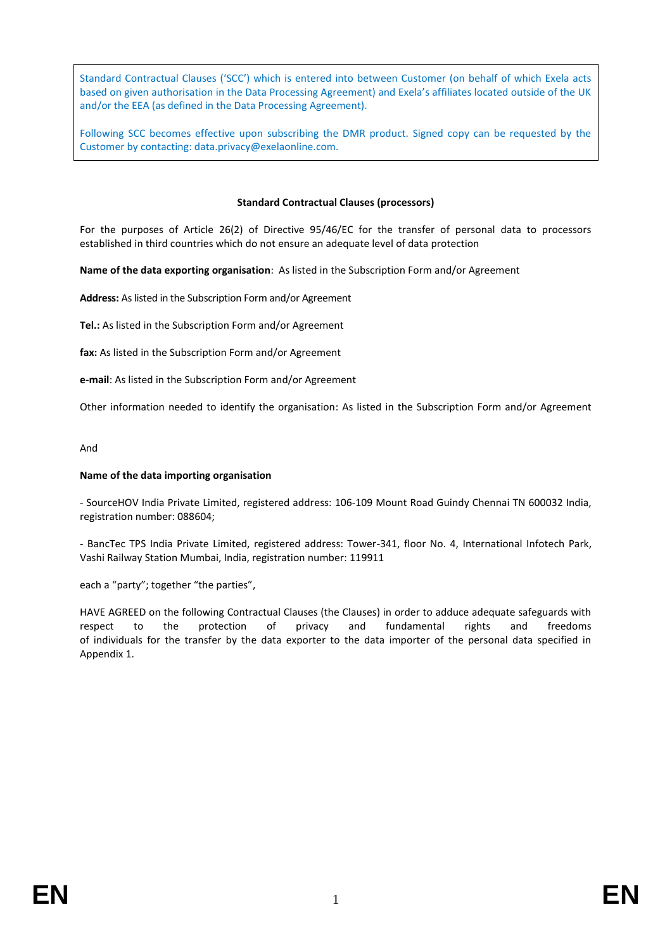Standard Contractual Clauses ('SCC') which is entered into between Customer (on behalf of which Exela acts based on given authorisation in the Data Processing Agreement) and Exela's affiliates located outside of the UK and/or the EEA (as defined in the Data Processing Agreement).

Following SCC becomes effective upon subscribing the DMR product. Signed copy can be requested by the Customer by contacting: data.privacy@exelaonline.com.

## **Standard Contractual Clauses (processors)**

For the purposes of Article 26(2) of Directive 95/46/EC for the transfer of personal data to processors established in third countries which do not ensure an adequate level of data protection

**Name of the data exporting organisation**: As listed in the Subscription Form and/or Agreement

**Address:** As listed in the Subscription Form and/or Agreement

**Tel.:** As listed in the Subscription Form and/or Agreement

**fax:** As listed in the Subscription Form and/or Agreement

**e-mail**: As listed in the Subscription Form and/or Agreement

Other information needed to identify the organisation: As listed in the Subscription Form and/or Agreement

And

#### **Name of the data importing organisation**

- SourceHOV India Private Limited, registered address: 106-109 Mount Road Guindy Chennai TN 600032 India, registration number: 088604;

- BancTec TPS India Private Limited, registered address: Tower-341, floor No. 4, International Infotech Park, Vashi Railway Station Mumbai, India, registration number: 119911

each a "party"; together "the parties",

HAVE AGREED on the following Contractual Clauses (the Clauses) in order to adduce adequate safeguards with respect to the protection of privacy and fundamental rights and freedoms of individuals for the transfer by the data exporter to the data importer of the personal data specified in Appendix 1.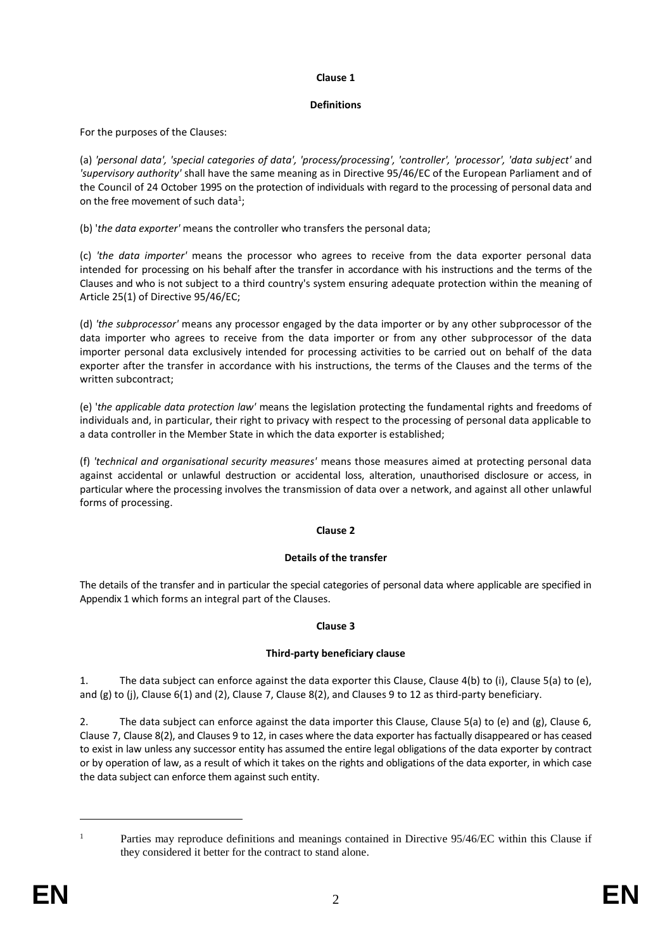# **Clause 1**

## **Definitions**

For the purposes of the Clauses:

(a) *'personal data', 'special categories of data', 'process/processing', 'controller', 'processor', 'data subject'* and *'supervisory authority'* shall have the same meaning as in Directive 95/46/EC of the European Parliament and of the Council of 24 October 1995 on the protection of individuals with regard to the processing of personal data and on the free movement of such data<sup>1</sup>;

(b) '*the data exporter'* means the controller who transfers the personal data;

(c) *'the data importer'* means the processor who agrees to receive from the data exporter personal data intended for processing on his behalf after the transfer in accordance with his instructions and the terms of the Clauses and who is not subject to a third country's system ensuring adequate protection within the meaning of Article 25(1) of Directive 95/46/EC;

(d) *'the subprocessor'* means any processor engaged by the data importer or by any other subprocessor of the data importer who agrees to receive from the data importer or from any other subprocessor of the data importer personal data exclusively intended for processing activities to be carried out on behalf of the data exporter after the transfer in accordance with his instructions, the terms of the Clauses and the terms of the written subcontract;

(e) '*the applicable data protection law'* means the legislation protecting the fundamental rights and freedoms of individuals and, in particular, their right to privacy with respect to the processing of personal data applicable to a data controller in the Member State in which the data exporter is established;

(f) *'technical and organisational security measures'* means those measures aimed at protecting personal data against accidental or unlawful destruction or accidental loss, alteration, unauthorised disclosure or access, in particular where the processing involves the transmission of data over a network, and against all other unlawful forms of processing.

# **Clause 2**

# **Details of the transfer**

The details of the transfer and in particular the special categories of personal data where applicable are specified in Appendix 1 which forms an integral part of the Clauses.

# **Clause 3**

# **Third-party beneficiary clause**

1. The data subject can enforce against the data exporter this Clause, Clause 4(b) to (i), Clause 5(a) to (e), and (g) to (j), Clause 6(1) and (2), Clause 7, Clause 8(2), and Clauses 9 to 12 as third-party beneficiary.

2. The data subject can enforce against the data importer this Clause, Clause 5(a) to (e) and (g), Clause 6, Clause 7, Clause 8(2), and Clauses 9 to 12, in cases where the data exporter has factually disappeared or has ceased to exist in law unless any successor entity has assumed the entire legal obligations of the data exporter by contract or by operation of law, as a result of which it takes on the rights and obligations of the data exporter, in which case the data subject can enforce them against such entity.

<sup>1</sup> 

 $1$  Parties may reproduce definitions and meanings contained in Directive 95/46/EC within this Clause if they considered it better for the contract to stand alone.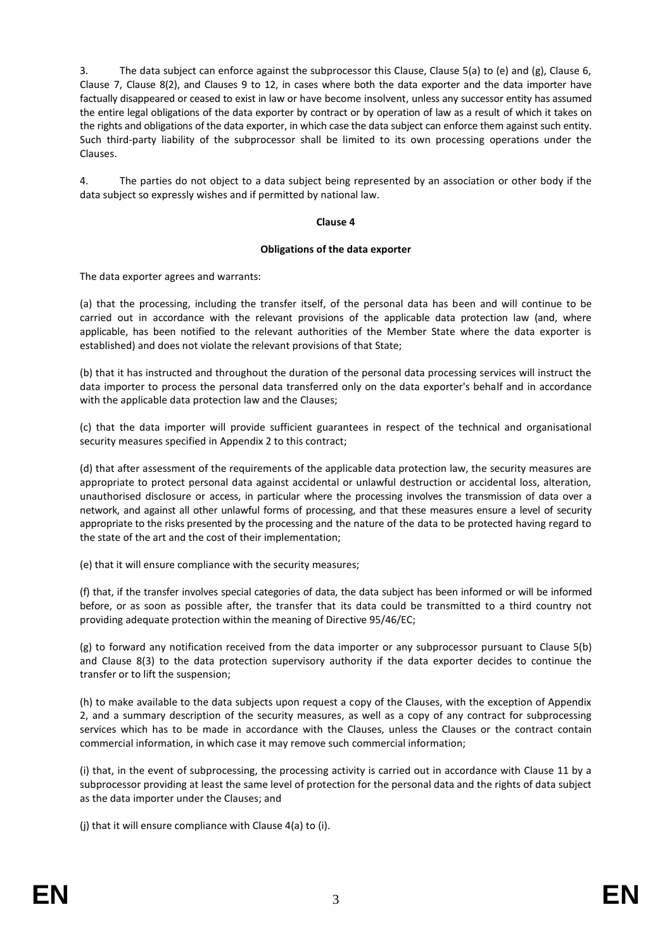3. The data subject can enforce against the subprocessor this Clause, Clause 5(a) to (e) and (g), Clause 6, Clause 7, Clause 8(2), and Clauses 9 to 12, in cases where both the data exporter and the data importer have factually disappeared or ceased to exist in law or have become insolvent, unless any successor entity has assumed the entire legal obligations of the data exporter by contract or by operation of law as a result of which it takes on the rights and obligations of the data exporter, in which case the data subject can enforce them against such entity. Such third-party liability of the subprocessor shall be limited to its own processing operations under the Clauses.

4. The parties do not object to a data subject being represented by an association or other body if the data subject so expressly wishes and if permitted by national law.

### **Clause 4**

#### **Obligations of the data exporter**

The data exporter agrees and warrants:

(a) that the processing, including the transfer itself, of the personal data has been and will continue to be carried out in accordance with the relevant provisions of the applicable data protection law (and, where applicable, has been notified to the relevant authorities of the Member State where the data exporter is established) and does not violate the relevant provisions of that State;

(b) that it has instructed and throughout the duration of the personal data processing services will instruct the data importer to process the personal data transferred only on the data exporter's behalf and in accordance with the applicable data protection law and the Clauses;

(c) that the data importer will provide sufficient guarantees in respect of the technical and organisational security measures specified in Appendix 2 to this contract;

(d) that after assessment of the requirements of the applicable data protection law, the security measures are appropriate to protect personal data against accidental or unlawful destruction or accidental loss, alteration, unauthorised disclosure or access, in particular where the processing involves the transmission of data over a network, and against all other unlawful forms of processing, and that these measures ensure a level of security appropriate to the risks presented by the processing and the nature of the data to be protected having regard to the state of the art and the cost of their implementation;

(e) that it will ensure compliance with the security measures;

(f) that, if the transfer involves special categories of data, the data subject has been informed or will be informed before, or as soon as possible after, the transfer that its data could be transmitted to a third country not providing adequate protection within the meaning of Directive 95/46/EC;

(g) to forward any notification received from the data importer or any subprocessor pursuant to Clause 5(b) and Clause 8(3) to the data protection supervisory authority if the data exporter decides to continue the transfer or to lift the suspension;

(h) to make available to the data subjects upon request a copy of the Clauses, with the exception of Appendix 2, and a summary description of the security measures, as well as a copy of any contract for subprocessing services which has to be made in accordance with the Clauses, unless the Clauses or the contract contain commercial information, in which case it may remove such commercial information;

(i) that, in the event of subprocessing, the processing activity is carried out in accordance with Clause 11 by a subprocessor providing at least the same level of protection for the personal data and the rights of data subject as the data importer under the Clauses; and

(j) that it will ensure compliance with Clause 4(a) to (i).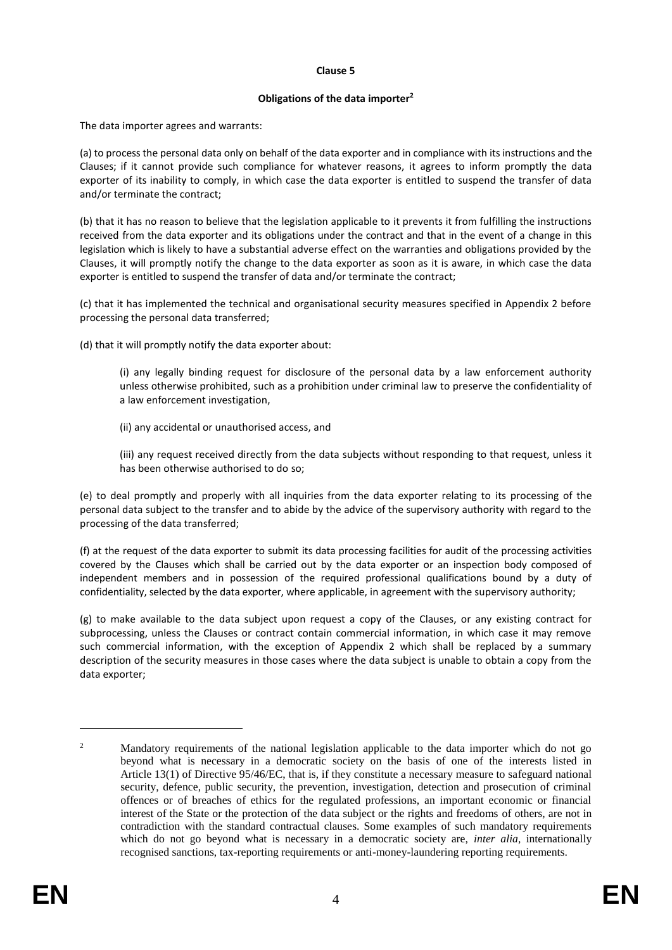## **Clause 5**

# **Obligations of the data importer<sup>2</sup>**

The data importer agrees and warrants:

(a) to process the personal data only on behalf of the data exporter and in compliance with its instructions and the Clauses; if it cannot provide such compliance for whatever reasons, it agrees to inform promptly the data exporter of its inability to comply, in which case the data exporter is entitled to suspend the transfer of data and/or terminate the contract;

(b) that it has no reason to believe that the legislation applicable to it prevents it from fulfilling the instructions received from the data exporter and its obligations under the contract and that in the event of a change in this legislation which is likely to have a substantial adverse effect on the warranties and obligations provided by the Clauses, it will promptly notify the change to the data exporter as soon as it is aware, in which case the data exporter is entitled to suspend the transfer of data and/or terminate the contract;

(c) that it has implemented the technical and organisational security measures specified in Appendix 2 before processing the personal data transferred;

(d) that it will promptly notify the data exporter about:

(i) any legally binding request for disclosure of the personal data by a law enforcement authority unless otherwise prohibited, such as a prohibition under criminal law to preserve the confidentiality of a law enforcement investigation,

(ii) any accidental or unauthorised access, and

(iii) any request received directly from the data subjects without responding to that request, unless it has been otherwise authorised to do so;

(e) to deal promptly and properly with all inquiries from the data exporter relating to its processing of the personal data subject to the transfer and to abide by the advice of the supervisory authority with regard to the processing of the data transferred;

(f) at the request of the data exporter to submit its data processing facilities for audit of the processing activities covered by the Clauses which shall be carried out by the data exporter or an inspection body composed of independent members and in possession of the required professional qualifications bound by a duty of confidentiality, selected by the data exporter, where applicable, in agreement with the supervisory authority;

(g) to make available to the data subject upon request a copy of the Clauses, or any existing contract for subprocessing, unless the Clauses or contract contain commercial information, in which case it may remove such commercial information, with the exception of Appendix 2 which shall be replaced by a summary description of the security measures in those cases where the data subject is unable to obtain a copy from the data exporter;

<u>.</u>

<sup>&</sup>lt;sup>2</sup> Mandatory requirements of the national legislation applicable to the data importer which do not go beyond what is necessary in a democratic society on the basis of one of the interests listed in Article 13(1) of Directive 95/46/EC, that is, if they constitute a necessary measure to safeguard national security, defence, public security, the prevention, investigation, detection and prosecution of criminal offences or of breaches of ethics for the regulated professions, an important economic or financial interest of the State or the protection of the data subject or the rights and freedoms of others, are not in contradiction with the standard contractual clauses. Some examples of such mandatory requirements which do not go beyond what is necessary in a democratic society are, *inter alia,* internationally recognised sanctions, tax-reporting requirements or anti-money-laundering reporting requirements.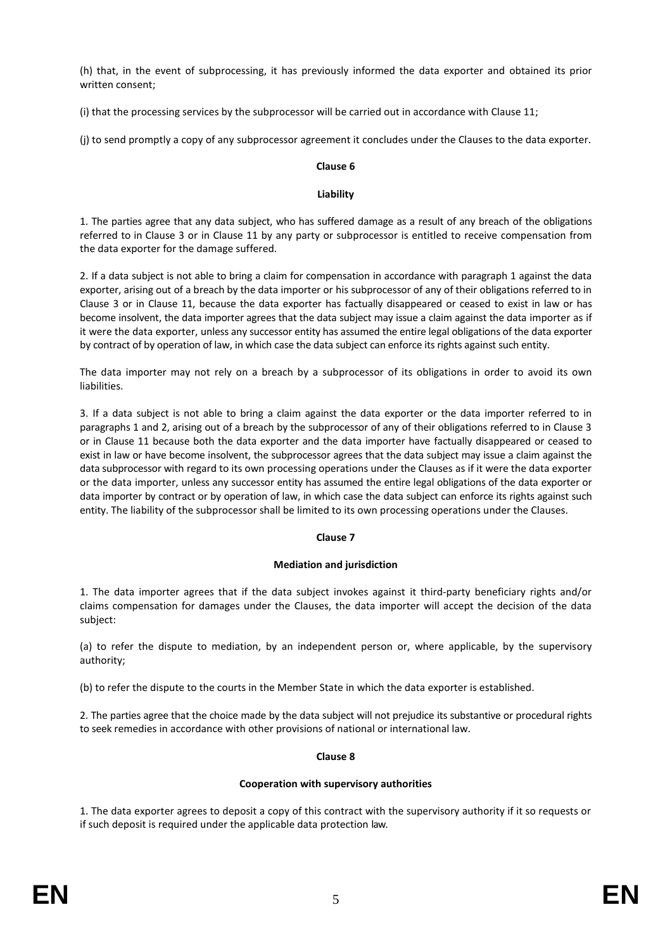(h) that, in the event of subprocessing, it has previously informed the data exporter and obtained its prior written consent;

(i) that the processing services by the subprocessor will be carried out in accordance with Clause 11;

(j) to send promptly a copy of any subprocessor agreement it concludes under the Clauses to the data exporter.

## **Clause 6**

## **Liability**

1. The parties agree that any data subject, who has suffered damage as a result of any breach of the obligations referred to in Clause 3 or in Clause 11 by any party or subprocessor is entitled to receive compensation from the data exporter for the damage suffered.

2. If a data subject is not able to bring a claim for compensation in accordance with paragraph 1 against the data exporter, arising out of a breach by the data importer or his subprocessor of any of their obligations referred to in Clause 3 or in Clause 11, because the data exporter has factually disappeared or ceased to exist in law or has become insolvent, the data importer agrees that the data subject may issue a claim against the data importer as if it were the data exporter, unless any successor entity has assumed the entire legal obligations of the data exporter by contract of by operation of law, in which case the data subject can enforce its rights against such entity.

The data importer may not rely on a breach by a subprocessor of its obligations in order to avoid its own liabilities.

3. If a data subject is not able to bring a claim against the data exporter or the data importer referred to in paragraphs 1 and 2, arising out of a breach by the subprocessor of any of their obligations referred to in Clause 3 or in Clause 11 because both the data exporter and the data importer have factually disappeared or ceased to exist in law or have become insolvent, the subprocessor agrees that the data subject may issue a claim against the data subprocessor with regard to its own processing operations under the Clauses as if it were the data exporter or the data importer, unless any successor entity has assumed the entire legal obligations of the data exporter or data importer by contract or by operation of law, in which case the data subject can enforce its rights against such entity. The liability of the subprocessor shall be limited to its own processing operations under the Clauses.

# **Clause 7**

# **Mediation and jurisdiction**

1. The data importer agrees that if the data subject invokes against it third-party beneficiary rights and/or claims compensation for damages under the Clauses, the data importer will accept the decision of the data subject:

(a) to refer the dispute to mediation, by an independent person or, where applicable, by the supervisory authority;

(b) to refer the dispute to the courts in the Member State in which the data exporter is established.

2. The parties agree that the choice made by the data subject will not prejudice its substantive or procedural rights to seek remedies in accordance with other provisions of national or international law.

# **Clause 8**

# **Cooperation with supervisory authorities**

1. The data exporter agrees to deposit a copy of this contract with the supervisory authority if it so requests or if such deposit is required under the applicable data protection law.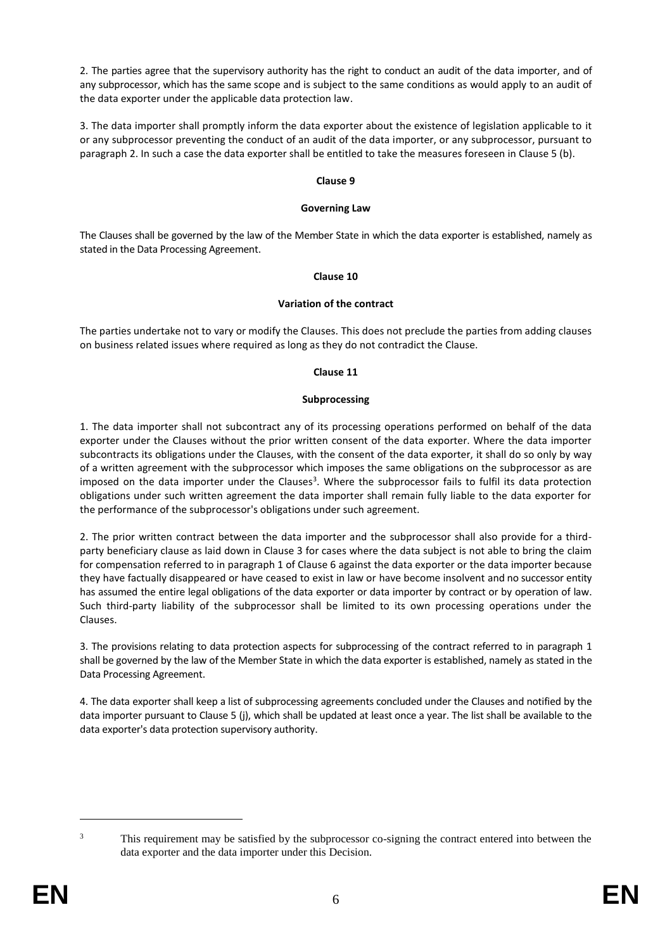2. The parties agree that the supervisory authority has the right to conduct an audit of the data importer, and of any subprocessor, which has the same scope and is subject to the same conditions as would apply to an audit of the data exporter under the applicable data protection law.

3. The data importer shall promptly inform the data exporter about the existence of legislation applicable to it or any subprocessor preventing the conduct of an audit of the data importer, or any subprocessor, pursuant to paragraph 2. In such a case the data exporter shall be entitled to take the measures foreseen in Clause 5 (b).

## **Clause 9**

### **Governing Law**

The Clauses shall be governed by the law of the Member State in which the data exporter is established, namely as stated in the Data Processing Agreement.

## **Clause 10**

## **Variation of the contract**

The parties undertake not to vary or modify the Clauses. This does not preclude the parties from adding clauses on business related issues where required as long as they do not contradict the Clause.

## **Clause 11**

## **Subprocessing**

1. The data importer shall not subcontract any of its processing operations performed on behalf of the data exporter under the Clauses without the prior written consent of the data exporter. Where the data importer subcontracts its obligations under the Clauses, with the consent of the data exporter, it shall do so only by way of a written agreement with the subprocessor which imposes the same obligations on the subprocessor as are imposed on the data importer under the Clauses<sup>3</sup>. Where the subprocessor fails to fulfil its data protection obligations under such written agreement the data importer shall remain fully liable to the data exporter for the performance of the subprocessor's obligations under such agreement.

2. The prior written contract between the data importer and the subprocessor shall also provide for a thirdparty beneficiary clause as laid down in Clause 3 for cases where the data subject is not able to bring the claim for compensation referred to in paragraph 1 of Clause 6 against the data exporter or the data importer because they have factually disappeared or have ceased to exist in law or have become insolvent and no successor entity has assumed the entire legal obligations of the data exporter or data importer by contract or by operation of law. Such third-party liability of the subprocessor shall be limited to its own processing operations under the Clauses.

3. The provisions relating to data protection aspects for subprocessing of the contract referred to in paragraph 1 shall be governed by the law of the Member State in which the data exporter is established, namely as stated in the Data Processing Agreement.

4. The data exporter shall keep a list of subprocessing agreements concluded under the Clauses and notified by the data importer pursuant to Clause 5 (j), which shall be updated at least once a year. The list shall be available to the data exporter's data protection supervisory authority.

1

<sup>&</sup>lt;sup>3</sup> This requirement may be satisfied by the subprocessor co-signing the contract entered into between the data exporter and the data importer under this Decision.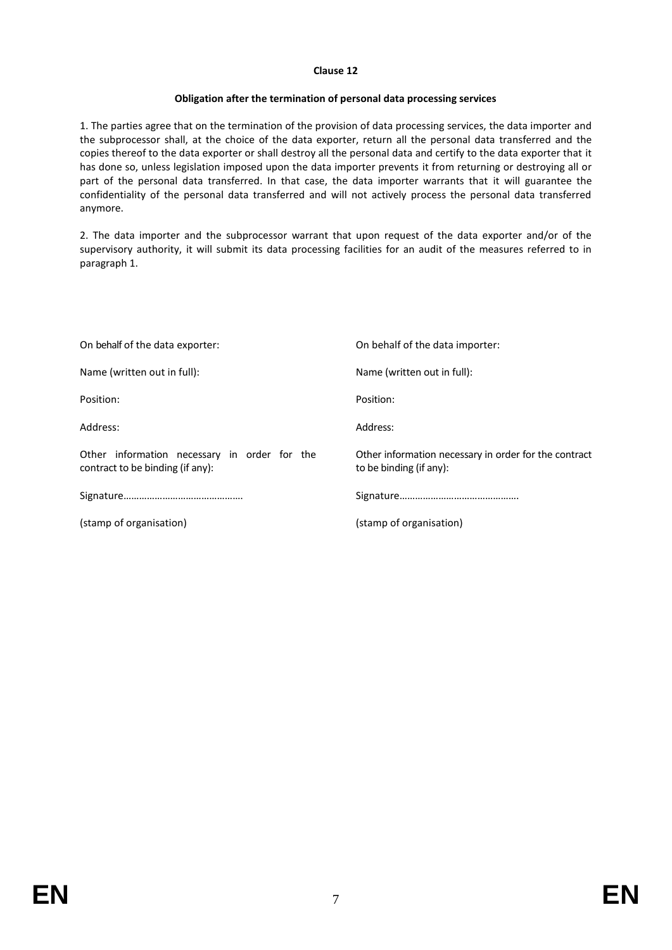## **Clause 12**

# **Obligation after the termination of personal data processing services**

1. The parties agree that on the termination of the provision of data processing services, the data importer and the subprocessor shall, at the choice of the data exporter, return all the personal data transferred and the copies thereof to the data exporter or shall destroy all the personal data and certify to the data exporter that it has done so, unless legislation imposed upon the data importer prevents it from returning or destroying all or part of the personal data transferred. In that case, the data importer warrants that it will guarantee the confidentiality of the personal data transferred and will not actively process the personal data transferred anymore.

2. The data importer and the subprocessor warrant that upon request of the data exporter and/or of the supervisory authority, it will submit its data processing facilities for an audit of the measures referred to in paragraph 1.

| On behalf of the data exporter:                                                  | On behalf of the data importer:                                                  |
|----------------------------------------------------------------------------------|----------------------------------------------------------------------------------|
| Name (written out in full):                                                      | Name (written out in full):                                                      |
| Position:                                                                        | Position:                                                                        |
| Address:                                                                         | Address:                                                                         |
| Other information necessary in order for the<br>contract to be binding (if any): | Other information necessary in order for the contract<br>to be binding (if any): |
|                                                                                  |                                                                                  |
| (stamp of organisation)                                                          | (stamp of organisation)                                                          |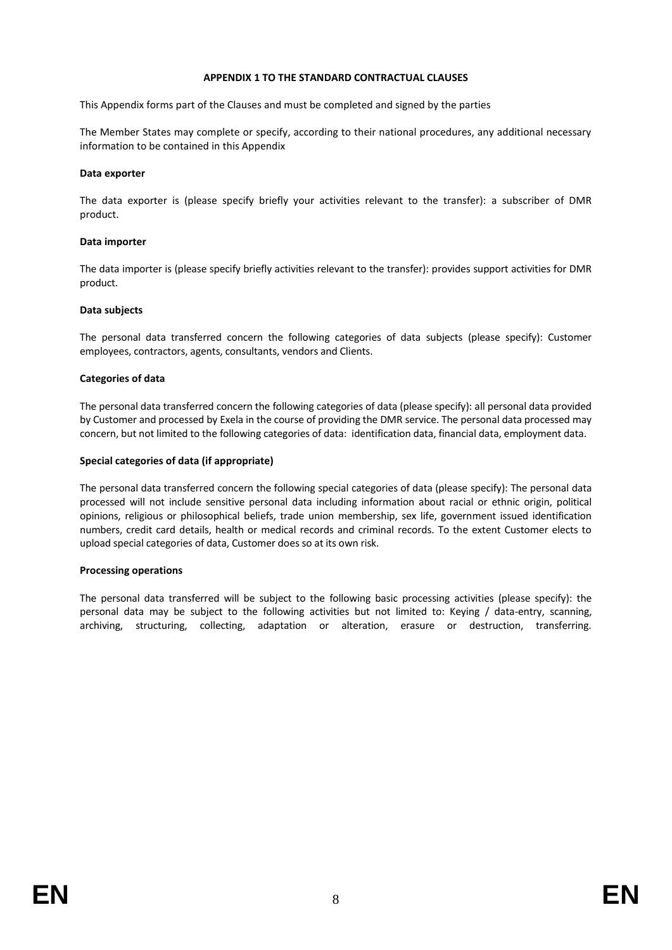## **APPENDIX 1 TO THE STANDARD CONTRACTUAL CLAUSES**

This Appendix forms part of the Clauses and must be completed and signed by the parties

The Member States may complete or specify, according to their national procedures, any additional necessary information to be contained in this Appendix

### **Data exporter**

The data exporter is (please specify briefly your activities relevant to the transfer): a subscriber of DMR product.

## **Data importer**

The data importer is (please specify briefly activities relevant to the transfer): provides support activities for DMR product.

## **Data subjects**

The personal data transferred concern the following categories of data subjects (please specify): Customer employees, contractors, agents, consultants, vendors and Clients.

## **Categories of data**

The personal data transferred concern the following categories of data (please specify): all personal data provided by Customer and processed by Exela in the course of providing the DMR service. The personal data processed may concern, but not limited to the following categories of data: identification data, financial data, employment data.

## **Special categories of data (if appropriate)**

The personal data transferred concern the following special categories of data (please specify): The personal data processed will not include sensitive personal data including information about racial or ethnic origin, political opinions, religious or philosophical beliefs, trade union membership, sex life, government issued identification numbers, credit card details, health or medical records and criminal records. To the extent Customer elects to upload special categories of data, Customer does so at its own risk.

# **Processing operations**

The personal data transferred will be subject to the following basic processing activities (please specify): the personal data may be subject to the following activities but not limited to: Keying / data-entry, scanning, archiving, structuring, collecting, adaptation or alteration, erasure or destruction, transferring.